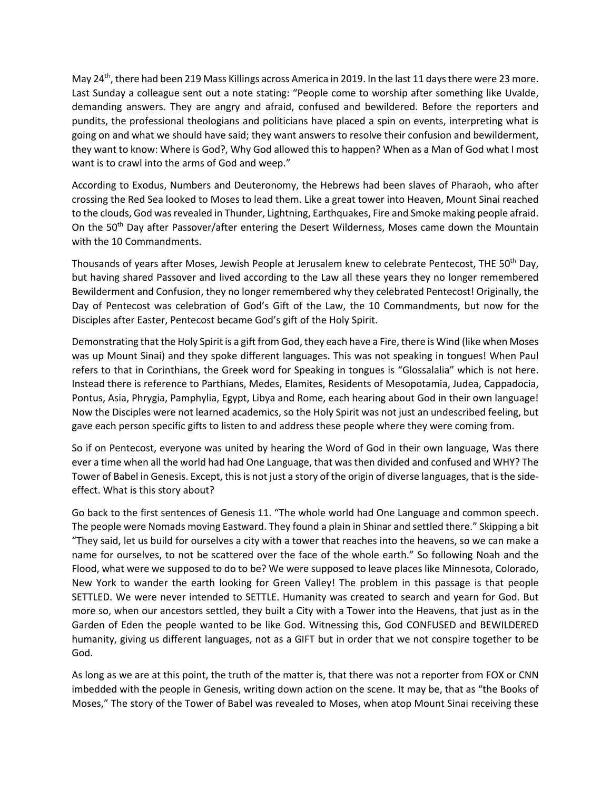May 24th, there had been 219 Mass Killings across America in 2019. In the last 11 days there were 23 more. Last Sunday a colleague sent out a note stating: "People come to worship after something like Uvalde, demanding answers. They are angry and afraid, confused and bewildered. Before the reporters and pundits, the professional theologians and politicians have placed a spin on events, interpreting what is going on and what we should have said; they want answers to resolve their confusion and bewilderment, they want to know: Where is God?, Why God allowed this to happen? When as a Man of God what I most want is to crawl into the arms of God and weep."

According to Exodus, Numbers and Deuteronomy, the Hebrews had been slaves of Pharaoh, who after crossing the Red Sea looked to Moses to lead them. Like a great tower into Heaven, Mount Sinai reached to the clouds, God was revealed in Thunder, Lightning, Earthquakes, Fire and Smoke making people afraid. On the 50<sup>th</sup> Day after Passover/after entering the Desert Wilderness, Moses came down the Mountain with the 10 Commandments.

Thousands of years after Moses, Jewish People at Jerusalem knew to celebrate Pentecost, THE 50<sup>th</sup> Day, but having shared Passover and lived according to the Law all these years they no longer remembered Bewilderment and Confusion, they no longer remembered why they celebrated Pentecost! Originally, the Day of Pentecost was celebration of God's Gift of the Law, the 10 Commandments, but now for the Disciples after Easter, Pentecost became God's gift of the Holy Spirit.

Demonstrating that the Holy Spirit is a gift from God, they each have a Fire, there is Wind (like when Moses was up Mount Sinai) and they spoke different languages. This was not speaking in tongues! When Paul refers to that in Corinthians, the Greek word for Speaking in tongues is "Glossalalia" which is not here. Instead there is reference to Parthians, Medes, Elamites, Residents of Mesopotamia, Judea, Cappadocia, Pontus, Asia, Phrygia, Pamphylia, Egypt, Libya and Rome, each hearing about God in their own language! Now the Disciples were not learned academics, so the Holy Spirit was not just an undescribed feeling, but gave each person specific gifts to listen to and address these people where they were coming from.

So if on Pentecost, everyone was united by hearing the Word of God in their own language, Was there ever a time when all the world had had One Language, that was then divided and confused and WHY? The Tower of Babel in Genesis. Except, this is not just a story of the origin of diverse languages, that is the sideeffect. What is this story about?

Go back to the first sentences of Genesis 11. "The whole world had One Language and common speech. The people were Nomads moving Eastward. They found a plain in Shinar and settled there." Skipping a bit "They said, let us build for ourselves a city with a tower that reaches into the heavens, so we can make a name for ourselves, to not be scattered over the face of the whole earth." So following Noah and the Flood, what were we supposed to do to be? We were supposed to leave places like Minnesota, Colorado, New York to wander the earth looking for Green Valley! The problem in this passage is that people SETTLED. We were never intended to SETTLE. Humanity was created to search and yearn for God. But more so, when our ancestors settled, they built a City with a Tower into the Heavens, that just as in the Garden of Eden the people wanted to be like God. Witnessing this, God CONFUSED and BEWILDERED humanity, giving us different languages, not as a GIFT but in order that we not conspire together to be God.

As long as we are at this point, the truth of the matter is, that there was not a reporter from FOX or CNN imbedded with the people in Genesis, writing down action on the scene. It may be, that as "the Books of Moses," The story of the Tower of Babel was revealed to Moses, when atop Mount Sinai receiving these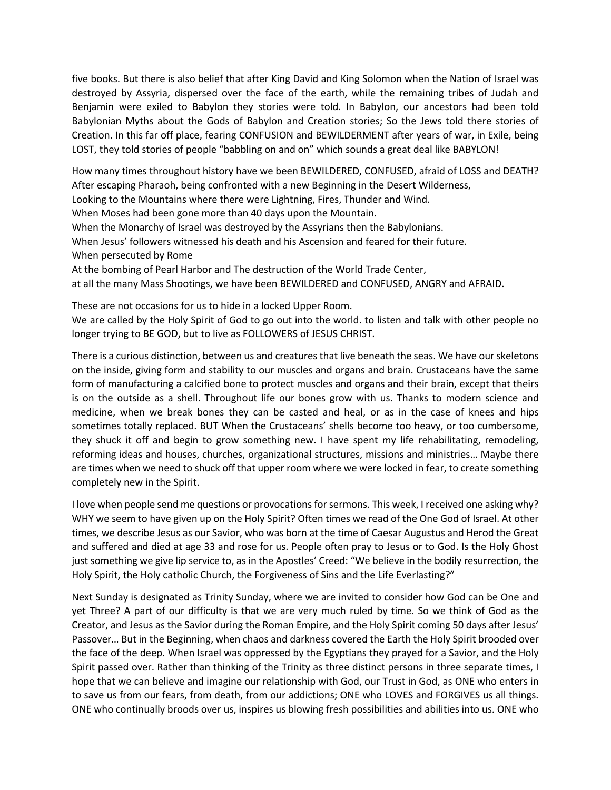five books. But there is also belief that after King David and King Solomon when the Nation of Israel was destroyed by Assyria, dispersed over the face of the earth, while the remaining tribes of Judah and Benjamin were exiled to Babylon they stories were told. In Babylon, our ancestors had been told Babylonian Myths about the Gods of Babylon and Creation stories; So the Jews told there stories of Creation. In this far off place, fearing CONFUSION and BEWILDERMENT after years of war, in Exile, being LOST, they told stories of people "babbling on and on" which sounds a great deal like BABYLON!

How many times throughout history have we been BEWILDERED, CONFUSED, afraid of LOSS and DEATH? After escaping Pharaoh, being confronted with a new Beginning in the Desert Wilderness,

Looking to the Mountains where there were Lightning, Fires, Thunder and Wind.

When Moses had been gone more than 40 days upon the Mountain.

When the Monarchy of Israel was destroyed by the Assyrians then the Babylonians.

When Jesus' followers witnessed his death and his Ascension and feared for their future. When persecuted by Rome

At the bombing of Pearl Harbor and The destruction of the World Trade Center,

at all the many Mass Shootings, we have been BEWILDERED and CONFUSED, ANGRY and AFRAID.

These are not occasions for us to hide in a locked Upper Room.

We are called by the Holy Spirit of God to go out into the world. to listen and talk with other people no longer trying to BE GOD, but to live as FOLLOWERS of JESUS CHRIST.

There is a curious distinction, between us and creatures that live beneath the seas. We have our skeletons on the inside, giving form and stability to our muscles and organs and brain. Crustaceans have the same form of manufacturing a calcified bone to protect muscles and organs and their brain, except that theirs is on the outside as a shell. Throughout life our bones grow with us. Thanks to modern science and medicine, when we break bones they can be casted and heal, or as in the case of knees and hips sometimes totally replaced. BUT When the Crustaceans' shells become too heavy, or too cumbersome, they shuck it off and begin to grow something new. I have spent my life rehabilitating, remodeling, reforming ideas and houses, churches, organizational structures, missions and ministries… Maybe there are times when we need to shuck off that upper room where we were locked in fear, to create something completely new in the Spirit.

I love when people send me questions or provocations for sermons. This week, I received one asking why? WHY we seem to have given up on the Holy Spirit? Often times we read of the One God of Israel. At other times, we describe Jesus as our Savior, who was born at the time of Caesar Augustus and Herod the Great and suffered and died at age 33 and rose for us. People often pray to Jesus or to God. Is the Holy Ghost just something we give lip service to, as in the Apostles' Creed: "We believe in the bodily resurrection, the Holy Spirit, the Holy catholic Church, the Forgiveness of Sins and the Life Everlasting?"

Next Sunday is designated as Trinity Sunday, where we are invited to consider how God can be One and yet Three? A part of our difficulty is that we are very much ruled by time. So we think of God as the Creator, and Jesus as the Savior during the Roman Empire, and the Holy Spirit coming 50 days after Jesus' Passover… But in the Beginning, when chaos and darkness covered the Earth the Holy Spirit brooded over the face of the deep. When Israel was oppressed by the Egyptians they prayed for a Savior, and the Holy Spirit passed over. Rather than thinking of the Trinity as three distinct persons in three separate times, I hope that we can believe and imagine our relationship with God, our Trust in God, as ONE who enters in to save us from our fears, from death, from our addictions; ONE who LOVES and FORGIVES us all things. ONE who continually broods over us, inspires us blowing fresh possibilities and abilities into us. ONE who